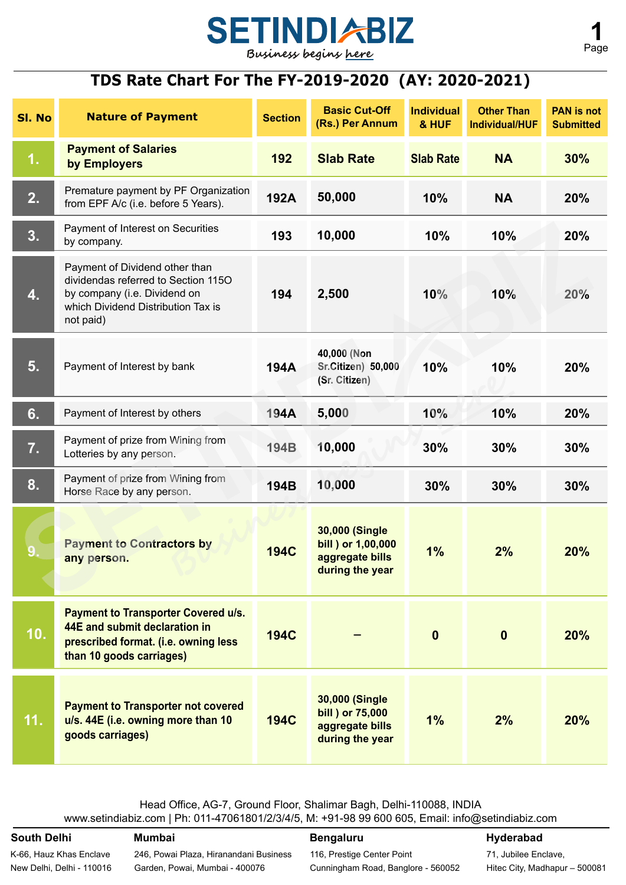

# **TDS Rate Chart For The FY-2019-2020 (AY: 2020-2021)**

| SI. No | <b>Nature of Payment</b>                                                                                                                                 | <b>Section</b> | <b>Basic Cut-Off</b><br>(Rs.) Per Annum                                           | <b>Individual</b><br>& HUF | <b>Other Than</b><br><b>Individual/HUF</b> | <b>PAN</b> is not<br><b>Submitted</b> |
|--------|----------------------------------------------------------------------------------------------------------------------------------------------------------|----------------|-----------------------------------------------------------------------------------|----------------------------|--------------------------------------------|---------------------------------------|
| 1.     | <b>Payment of Salaries</b><br>by Employers                                                                                                               | 192            | <b>Slab Rate</b>                                                                  | <b>Slab Rate</b>           | <b>NA</b>                                  | 30%                                   |
| 2.     | Premature payment by PF Organization<br>from EPF A/c (i.e. before 5 Years).                                                                              | 192A           | 50,000                                                                            | 10%                        | <b>NA</b>                                  | 20%                                   |
| 3.     | Payment of Interest on Securities<br>by company.                                                                                                         | 193            | 10,000                                                                            | 10%                        | 10%                                        | 20%                                   |
| 4.     | Payment of Dividend other than<br>dividendas referred to Section 115O<br>by company (i.e. Dividend on<br>which Dividend Distribution Tax is<br>not paid) | 194            | 2,500                                                                             | 10%                        | 10%                                        | 20%                                   |
| 5.     | Payment of Interest by bank                                                                                                                              | 194A           | 40,000 (Non<br>Sr.Citizen) 50,000<br>(Sr. Citizen)                                | 10%                        | 10%                                        | 20%                                   |
| 6.     | Payment of Interest by others                                                                                                                            | 194A           | 5,000                                                                             | 10%                        | 10%                                        | 20%                                   |
| 7.     | Payment of prize from Wining from<br>Lotteries by any person.                                                                                            | <b>194B</b>    | 10,000                                                                            | 30%                        | 30%                                        | 30%                                   |
| 8.     | Payment of prize from Wining from<br>Horse Race by any person.                                                                                           | 194B           | 10,000                                                                            | 30%                        | 30%                                        | 30%                                   |
| 9.     | <b>Payment to Contractors by</b><br>any person.                                                                                                          | <b>194C</b>    | <b>30,000 (Single</b><br>bill ) or 1,00,000<br>aggregate bills<br>during the year | 1%                         | 2%                                         | 20%                                   |
| 10.    | <b>Payment to Transporter Covered u/s.</b><br>44E and submit declaration in<br>prescribed format. (i.e. owning less<br>than 10 goods carriages)          | <b>194C</b>    |                                                                                   | $\bf{0}$                   | $\mathbf{0}$                               | 20%                                   |
| 11.    | <b>Payment to Transporter not covered</b><br>u/s. 44E (i.e. owning more than 10<br>goods carriages)                                                      | <b>194C</b>    | <b>30,000 (Single</b><br>bill ) or 75,000<br>aggregate bills<br>during the year   | 1%                         | 2%                                         | 20%                                   |

Head Office, AG-7, Ground Floor, Shalimar Bagh, Delhi-110088, INDIA www.setindiabiz.com | Ph: 011-47061801/2/3/4/5, M: +91-98 99 600 605, Email: info@setindiabiz.com

### **South Delhi Mumbai**

K-66, Hauz Khas Enclave New Delhi, Delhi - 110016

246, Powai Plaza, Hiranandani Business Garden, Powai, Mumbai - 400076

## **Bengaluru**

116, Prestige Center Point

Cunningham Road, Banglore - 560052

**Hyderabad**

71, Jubilee Enclave, Hitec City, Madhapur – 500081